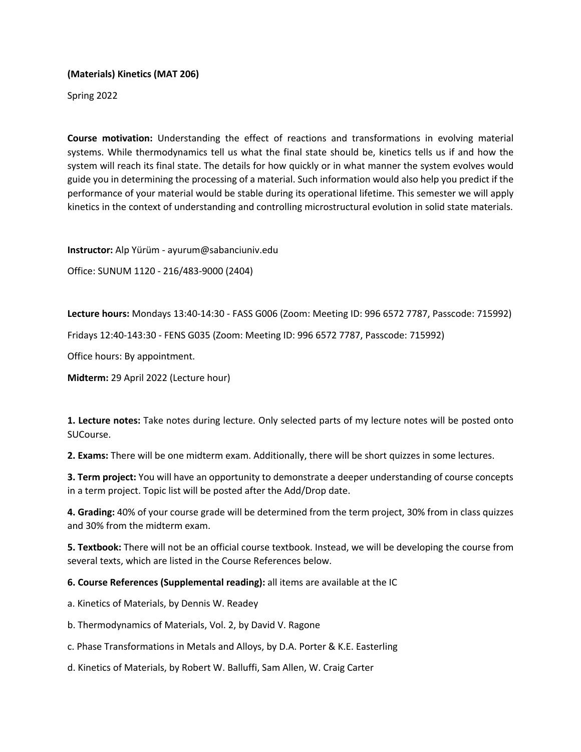## **(Materials) Kinetics (MAT 206)**

Spring 2022

**Course motivation:** Understanding the effect of reactions and transformations in evolving material systems. While thermodynamics tell us what the final state should be, kinetics tells us if and how the system will reach its final state. The details for how quickly or in what manner the system evolves would guide you in determining the processing of a material. Such information would also help you predict if the performance of your material would be stable during its operational lifetime. This semester we will apply kinetics in the context of understanding and controlling microstructural evolution in solid state materials.

**Instructor:** Alp Yürüm - ayurum@sabanciuniv.edu

Office: SUNUM 1120 - 216/483-9000 (2404)

**Lecture hours:** Mondays 13:40-14:30 - FASS G006 (Zoom: Meeting ID: 996 6572 7787, Passcode: 715992)

Fridays 12:40-143:30 - FENS G035 (Zoom: Meeting ID: 996 6572 7787, Passcode: 715992)

Office hours: By appointment.

**Midterm:** 29 April 2022 (Lecture hour)

**1. Lecture notes:** Take notes during lecture. Only selected parts of my lecture notes will be posted onto SUCourse.

**2. Exams:** There will be one midterm exam. Additionally, there will be short quizzes in some lectures.

**3. Term project:** You will have an opportunity to demonstrate a deeper understanding of course concepts in a term project. Topic list will be posted after the Add/Drop date.

**4. Grading:** 40% of your course grade will be determined from the term project, 30% from in class quizzes and 30% from the midterm exam.

**5. Textbook:** There will not be an official course textbook. Instead, we will be developing the course from several texts, which are listed in the Course References below.

**6. Course References (Supplemental reading):** all items are available at the IC

a. Kinetics of Materials, by Dennis W. Readey

b. Thermodynamics of Materials, Vol. 2, by David V. Ragone

c. Phase Transformations in Metals and Alloys, by D.A. Porter & K.E. Easterling

d. Kinetics of Materials, by Robert W. Balluffi, Sam Allen, W. Craig Carter